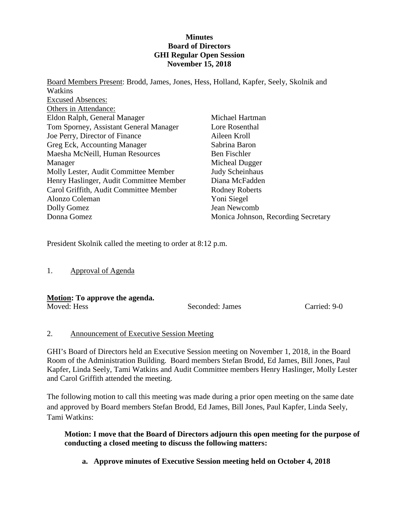#### **Minutes Board of Directors GHI Regular Open Session November 15, 2018**

Board Members Present: Brodd, James, Jones, Hess, Holland, Kapfer, Seely, Skolnik and **Watkins** Excused Absences: Others in Attendance: Eldon Ralph, General Manager Tom Sporney, Assistant General Manager Joe Perry, Director of Finance Greg Eck, Accounting Manager Maesha McNeill, Human Resources Manager Molly Lester, Audit Committee Member Henry Haslinger, Audit Committee Member Carol Griffith, Audit Committee Member Alonzo Coleman Dolly Gomez Donna Gomez Michael Hartman Lore Rosenthal Aileen Kroll Sabrina Baron Ben Fischler Micheal Dugger Judy Scheinhaus Diana McFadden Rodney Roberts Yoni Siegel Jean Newcomb Monica Johnson, Recording Secretary

President Skolnik called the meeting to order at 8:12 p.m.

1. Approval of Agenda

#### **Motion: To approve the agenda.**

Moved: Hess Seconded: James Carried: 9-0

#### 2. Announcement of Executive Session Meeting

GHI's Board of Directors held an Executive Session meeting on November 1, 2018, in the Board Room of the Administration Building. Board members Stefan Brodd, Ed James, Bill Jones, Paul Kapfer, Linda Seely, Tami Watkins and Audit Committee members Henry Haslinger, Molly Lester and Carol Griffith attended the meeting.

The following motion to call this meeting was made during a prior open meeting on the same date and approved by Board members Stefan Brodd, Ed James, Bill Jones, Paul Kapfer, Linda Seely, Tami Watkins:

**Motion: I move that the Board of Directors adjourn this open meeting for the purpose of conducting a closed meeting to discuss the following matters:**

**a. Approve minutes of Executive Session meeting held on October 4, 2018**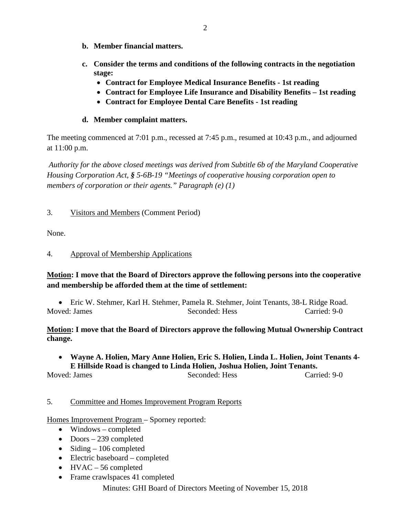- **b. Member financial matters.**
- **c. Consider the terms and conditions of the following contracts in the negotiation stage:**
	- **Contract for Employee Medical Insurance Benefits - 1st reading**
	- **Contract for Employee Life Insurance and Disability Benefits – 1st reading**
	- **Contract for Employee Dental Care Benefits - 1st reading**

# **d. Member complaint matters.**

The meeting commenced at 7:01 p.m., recessed at 7:45 p.m., resumed at 10:43 p.m., and adjourned at 11:00 p.m.

*Authority for the above closed meetings was derived from Subtitle 6b of the Maryland Cooperative Housing Corporation Act, § 5-6B-19 "Meetings of cooperative housing corporation open to members of corporation or their agents." Paragraph (e) (1)*

# 3. Visitors and Members (Comment Period)

None.

#### 4. Approval of Membership Applications

# **Motion: I move that the Board of Directors approve the following persons into the cooperative and membership be afforded them at the time of settlement:**

• Eric W. Stehmer, Karl H. Stehmer, Pamela R. Stehmer, Joint Tenants, 38-L Ridge Road. Moved: James Seconded: Hess Carried: 9-0

#### **Motion: I move that the Board of Directors approve the following Mutual Ownership Contract change.**

# • **Wayne A. Holien, Mary Anne Holien, Eric S. Holien, Linda L. Holien, Joint Tenants 4- E Hillside Road is changed to Linda Holien, Joshua Holien, Joint Tenants.**

Moved: James Seconded: Hess Carried: 9-0

# 5. Committee and Homes Improvement Program Reports

Homes Improvement Program – Sporney reported:

- Windows completed
- Doors 239 completed
- Siding  $-106$  completed
- Electric baseboard completed
- HVAC 56 completed
- Frame crawlspaces 41 completed

Minutes: GHI Board of Directors Meeting of November 15, 2018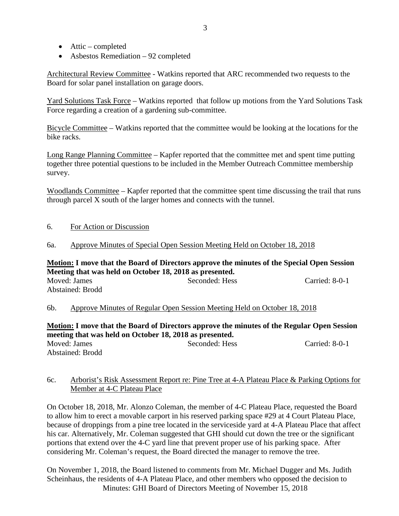- Attic completed
- Asbestos Remediation 92 completed

Architectural Review Committee - Watkins reported that ARC recommended two requests to the Board for solar panel installation on garage doors.

Yard Solutions Task Force – Watkins reported that follow up motions from the Yard Solutions Task Force regarding a creation of a gardening sub-committee.

Bicycle Committee – Watkins reported that the committee would be looking at the locations for the bike racks.

Long Range Planning Committee – Kapfer reported that the committee met and spent time putting together three potential questions to be included in the Member Outreach Committee membership survey.

Woodlands Committee – Kapfer reported that the committee spent time discussing the trail that runs through parcel X south of the larger homes and connects with the tunnel.

- 6. For Action or Discussion
- 6a. Approve Minutes of Special Open Session Meeting Held on October 18, 2018

# **Motion: I move that the Board of Directors approve the minutes of the Special Open Session Meeting that was held on October 18, 2018 as presented.** Moved: James Seconded: Hess Carried: 8-0-1 Abstained: Brodd

6b. Approve Minutes of Regular Open Session Meeting Held on October 18, 2018

**Motion: I move that the Board of Directors approve the minutes of the Regular Open Session meeting that was held on October 18, 2018 as presented.** Moved: James Seconded: Hess Carried: 8-0-1 Abstained: Brodd

#### 6c. Arborist's Risk Assessment Report re: Pine Tree at 4-A Plateau Place & Parking Options for Member at 4-C Plateau Place

On October 18, 2018, Mr. Alonzo Coleman, the member of 4-C Plateau Place, requested the Board to allow him to erect a movable carport in his reserved parking space #29 at 4 Court Plateau Place, because of droppings from a pine tree located in the serviceside yard at 4-A Plateau Place that affect his car. Alternatively, Mr. Coleman suggested that GHI should cut down the tree or the significant portions that extend over the 4-C yard line that prevent proper use of his parking space. After considering Mr. Coleman's request, the Board directed the manager to remove the tree.

Minutes: GHI Board of Directors Meeting of November 15, 2018 On November 1, 2018, the Board listened to comments from Mr. Michael Dugger and Ms. Judith Scheinhaus, the residents of 4-A Plateau Place, and other members who opposed the decision to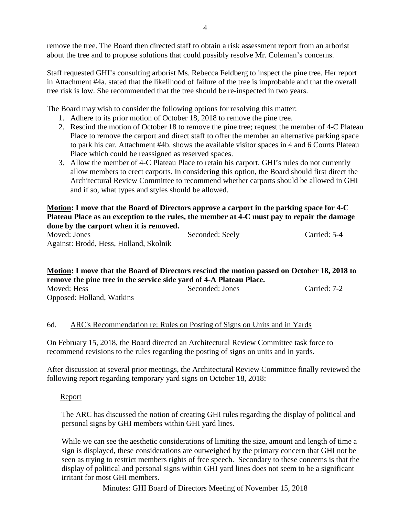remove the tree. The Board then directed staff to obtain a risk assessment report from an arborist about the tree and to propose solutions that could possibly resolve Mr. Coleman's concerns.

Staff requested GHI's consulting arborist Ms. Rebecca Feldberg to inspect the pine tree. Her report in Attachment #4a. stated that the likelihood of failure of the tree is improbable and that the overall tree risk is low. She recommended that the tree should be re-inspected in two years.

The Board may wish to consider the following options for resolving this matter:

- 1. Adhere to its prior motion of October 18, 2018 to remove the pine tree.
- 2. Rescind the motion of October 18 to remove the pine tree; request the member of 4-C Plateau Place to remove the carport and direct staff to offer the member an alternative parking space to park his car. Attachment #4b. shows the available visitor spaces in 4 and 6 Courts Plateau Place which could be reassigned as reserved spaces.
- 3. Allow the member of 4-C Plateau Place to retain his carport. GHI's rules do not currently allow members to erect carports. In considering this option, the Board should first direct the Architectural Review Committee to recommend whether carports should be allowed in GHI and if so, what types and styles should be allowed.

# **Motion: I move that the Board of Directors approve a carport in the parking space for 4-C Plateau Place as an exception to the rules, the member at 4-C must pay to repair the damage done by the carport when it is removed.**

Moved: Jones Seconded: Seely Carried: 5-4 Against: Brodd, Hess, Holland, Skolnik

# **Motion: I move that the Board of Directors rescind the motion passed on October 18, 2018 to remove the pine tree in the service side yard of 4-A Plateau Place.** Moved: Hess Seconded: Jones Carried: 7-2

Opposed: Holland, Watkins

# 6d. ARC's Recommendation re: Rules on Posting of Signs on Units and in Yards

On February 15, 2018, the Board directed an Architectural Review Committee task force to recommend revisions to the rules regarding the posting of signs on units and in yards.

After discussion at several prior meetings, the Architectural Review Committee finally reviewed the following report regarding temporary yard signs on October 18, 2018:

# Report

The ARC has discussed the notion of creating GHI rules regarding the display of political and personal signs by GHI members within GHI yard lines.

While we can see the aesthetic considerations of limiting the size, amount and length of time a sign is displayed, these considerations are outweighed by the primary concern that GHI not be seen as trying to restrict members rights of free speech. Secondary to these concerns is that the display of political and personal signs within GHI yard lines does not seem to be a significant irritant for most GHI members.

Minutes: GHI Board of Directors Meeting of November 15, 2018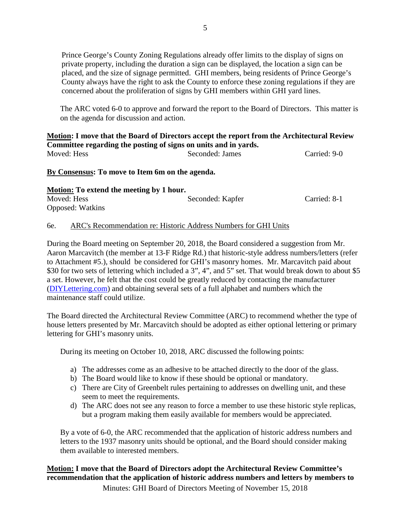Prince George's County Zoning Regulations already offer limits to the display of signs on private property, including the duration a sign can be displayed, the location a sign can be placed, and the size of signage permitted. GHI members, being residents of Prince George's County always have the right to ask the County to enforce these zoning regulations if they are concerned about the proliferation of signs by GHI members within GHI yard lines.

The ARC voted 6-0 to approve and forward the report to the Board of Directors. This matter is on the agenda for discussion and action.

#### **Motion: I move that the Board of Directors accept the report from the Architectural Review Committee regarding the posting of signs on units and in yards.** Moved: Hess Seconded: James Carried: 9-0

**By Consensus: To move to Item 6m on the agenda.**

| <b>Motion:</b> To extend the meeting by 1 hour. |                  |              |  |
|-------------------------------------------------|------------------|--------------|--|
| Moved: Hess                                     | Seconded: Kapfer | Carried: 8-1 |  |
| <b>Opposed:</b> Watkins                         |                  |              |  |

#### 6e. ARC's Recommendation re: Historic Address Numbers for GHI Units

During the Board meeting on September 20, 2018, the Board considered a suggestion from Mr. Aaron Marcavitch (the member at 13-F Ridge Rd.) that historic-style address numbers/letters (refer to Attachment #5.), should be considered for GHI's masonry homes. Mr. Marcavitch paid about \$30 for two sets of lettering which included a 3", 4", and 5" set. That would break down to about \$5 a set. However, he felt that the cost could be greatly reduced by contacting the manufacturer [\(DIYLettering.com\)](http://diylettering.com/) and obtaining several sets of a full alphabet and numbers which the maintenance staff could utilize.

The Board directed the Architectural Review Committee (ARC) to recommend whether the type of house letters presented by Mr. Marcavitch should be adopted as either optional lettering or primary lettering for GHI's masonry units.

During its meeting on October 10, 2018, ARC discussed the following points:

- a) The addresses come as an adhesive to be attached directly to the door of the glass.
- b) The Board would like to know if these should be optional or mandatory.
- c) There are City of Greenbelt rules pertaining to addresses on dwelling unit, and these seem to meet the requirements.
- d) The ARC does not see any reason to force a member to use these historic style replicas, but a program making them easily available for members would be appreciated.

By a vote of 6-0, the ARC recommended that the application of historic address numbers and letters to the 1937 masonry units should be optional, and the Board should consider making them available to interested members.

# **Motion: I move that the Board of Directors adopt the Architectural Review Committee's recommendation that the application of historic address numbers and letters by members to**

Minutes: GHI Board of Directors Meeting of November 15, 2018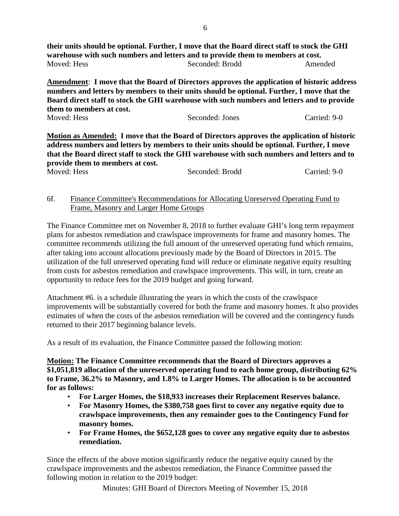**their units should be optional. Further, I move that the Board direct staff to stock the GHI warehouse with such numbers and letters and to provide them to members at cost.** Moved: Hess Seconded: Brodd Amended

**Amendment**: **I move that the Board of Directors approves the application of historic address numbers and letters by members to their units should be optional. Further, I move that the Board direct staff to stock the GHI warehouse with such numbers and letters and to provide them to members at cost.**

| Moved: Hess<br>Carried: 9-0<br>Seconded: Jones |  |
|------------------------------------------------|--|
|------------------------------------------------|--|

**Motion as Amended: I move that the Board of Directors approves the application of historic address numbers and letters by members to their units should be optional. Further, I move that the Board direct staff to stock the GHI warehouse with such numbers and letters and to provide them to members at cost.** Moved: Hess Seconded: Brodd Carried: 9-0

#### 6f. Finance Committee's Recommendations for Allocating Unreserved Operating Fund to Frame, Masonry and Larger Home Groups

The Finance Committee met on November 8, 2018 to further evaluate GHI's long term repayment plans for asbestos remediation and crawlspace improvements for frame and masonry homes. The committee recommends utilizing the full amount of the unreserved operating fund which remains, after taking into account allocations previously made by the Board of Directors in 2015. The utilization of the full unreserved operating fund will reduce or eliminate negative equity resulting from costs for asbestos remediation and crawlspace improvements. This will, in turn, create an opportunity to reduce fees for the 2019 budget and going forward.

Attachment #6. is a schedule illustrating the years in which the costs of the crawlspace improvements will be substantially covered for both the frame and masonry homes. It also provides estimates of when the costs of the asbestos remediation will be covered and the contingency funds returned to their 2017 beginning balance levels.

As a result of its evaluation, the Finance Committee passed the following motion:

**Motion: The Finance Committee recommends that the Board of Directors approves a \$1,051,819 allocation of the unreserved operating fund to each home group, distributing 62% to Frame, 36.2% to Masonry, and 1.8% to Larger Homes. The allocation is to be accounted for as follows:**

- **For Larger Homes, the \$18,933 increases their Replacement Reserves balance.**
- **For Masonry Homes, the \$380,758 goes first to cover any negative equity due to crawlspace improvements, then any remainder goes to the Contingency Fund for masonry homes.**
- **For Frame Homes, the \$652,128 goes to cover any negative equity due to asbestos remediation.**

Since the effects of the above motion significantly reduce the negative equity caused by the crawlspace improvements and the asbestos remediation, the Finance Committee passed the following motion in relation to the 2019 budget: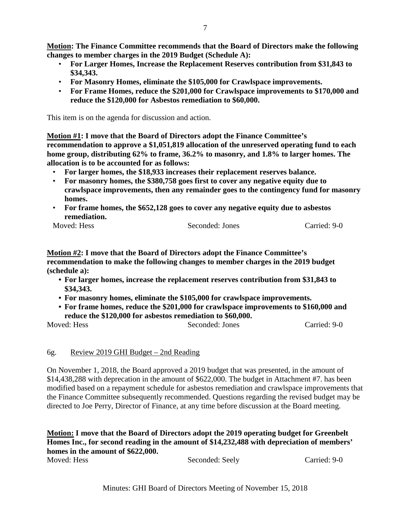**Motion: The Finance Committee recommends that the Board of Directors make the following changes to member charges in the 2019 Budget (Schedule A):**

- **For Larger Homes, Increase the Replacement Reserves contribution from \$31,843 to \$34,343.**
- **For Masonry Homes, eliminate the \$105,000 for Crawlspace improvements.**
- **For Frame Homes, reduce the \$201,000 for Crawlspace improvements to \$170,000 and reduce the \$120,000 for Asbestos remediation to \$60,000.**

This item is on the agenda for discussion and action.

**Motion #1: I move that the Board of Directors adopt the Finance Committee's recommendation to approve a \$1,051,819 allocation of the unreserved operating fund to each home group, distributing 62% to frame, 36.2% to masonry, and 1.8% to larger homes. The allocation is to be accounted for as follows:** 

- **For larger homes, the \$18,933 increases their replacement reserves balance.**
- **For masonry homes, the \$380,758 goes first to cover any negative equity due to crawlspace improvements, then any remainder goes to the contingency fund for masonry homes.**
- **For frame homes, the \$652,128 goes to cover any negative equity due to asbestos remediation.**

Moved: Hess Seconded: Jones Carried: 9-0

**Motion #2: I move that the Board of Directors adopt the Finance Committee's recommendation to make the following changes to member charges in the 2019 budget (schedule a):**

- **• For larger homes, increase the replacement reserves contribution from \$31,843 to \$34,343.**
- **• For masonry homes, eliminate the \$105,000 for crawlspace improvements.**
- **• For frame homes, reduce the \$201,000 for crawlspace improvements to \$160,000 and reduce the \$120,000 for asbestos remediation to \$60,000.**

Moved: Hess Seconded: Jones Carried: 9-0

#### 6g. Review 2019 GHI Budget – 2nd Reading

On November 1, 2018, the Board approved a 2019 budget that was presented, in the amount of \$14,438,288 with deprecation in the amount of \$622,000. The budget in Attachment #7. has been modified based on a repayment schedule for asbestos remediation and crawlspace improvements that the Finance Committee subsequently recommended. Questions regarding the revised budget may be directed to Joe Perry, Director of Finance, at any time before discussion at the Board meeting.

# **Motion: I move that the Board of Directors adopt the 2019 operating budget for Greenbelt Homes Inc., for second reading in the amount of \$14,232,488 with depreciation of members' homes in the amount of \$622,000.**

Moved: Hess Seconded: Seely Carried: 9-0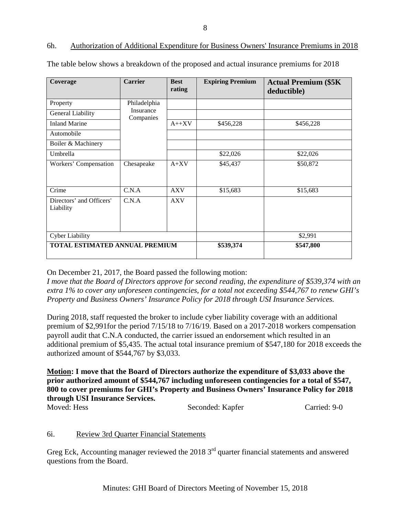# Minutes: GHI Board of Directors Meeting of November 15, 2018

| Coverage                              | <b>Carrier</b>         | <b>Best</b><br>rating | <b>Expiring Premium</b> | <b>Actual Premium (\$5K)</b><br>deductible) |
|---------------------------------------|------------------------|-----------------------|-------------------------|---------------------------------------------|
| Property                              | Philadelphia           |                       |                         |                                             |
| General Liability                     | Insurance<br>Companies |                       |                         |                                             |
| <b>Inland Marine</b>                  |                        | $A++XV$               | \$456,228               | \$456,228                                   |
| Automobile                            |                        |                       |                         |                                             |
| Boiler & Machinery                    |                        |                       |                         |                                             |
| Umbrella                              |                        |                       | \$22,026                | \$22,026                                    |
| Workers' Compensation                 | Chesapeake             | $A+XV$                | \$45,437                | \$50,872                                    |
|                                       |                        |                       |                         |                                             |
| Crime                                 | C.N.A                  | <b>AXV</b>            | \$15,683                | \$15,683                                    |
| Directors' and Officers'<br>Liability | C.N.A                  | <b>AXV</b>            |                         |                                             |
| <b>Cyber Liability</b>                |                        |                       |                         | \$2,991                                     |
| <b>TOTAL ESTIMATED ANNUAL PREMIUM</b> |                        |                       | \$539,374               | \$547,800                                   |

#### 6h. Authorization of Additional Expenditure for Business Owners' Insurance Premiums in 2018

The table below shows a breakdown of the proposed and actual insurance premiums for 2018

On December 21, 2017, the Board passed the following motion:

*I move that the Board of Directors approve for second reading, the expenditure of \$539,374 with an extra 1% to cover any unforeseen contingencies, for a total not exceeding \$544,767 to renew GHI's Property and Business Owners' Insurance Policy for 2018 through USI Insurance Services.* 

During 2018, staff requested the broker to include cyber liability coverage with an additional premium of \$2,991for the period 7/15/18 to 7/16/19. Based on a 2017-2018 workers compensation payroll audit that C.N.A conducted, the carrier issued an endorsement which resulted in an additional premium of \$5,435. The actual total insurance premium of \$547,180 for 2018 exceeds the authorized amount of \$544,767 by \$3,033.

**Motion: I move that the Board of Directors authorize the expenditure of \$3,033 above the prior authorized amount of \$544,767 including unforeseen contingencies for a total of \$547, 800 to cover premiums for GHI's Property and Business Owners' Insurance Policy for 2018 through USI Insurance Services.**

Moved: Hess Seconded: Kapfer Carried: 9-0

# 6i. Review 3rd Quarter Financial Statements

Greg Eck, Accounting manager reviewed the  $20183<sup>rd</sup>$  quarter financial statements and answered questions from the Board.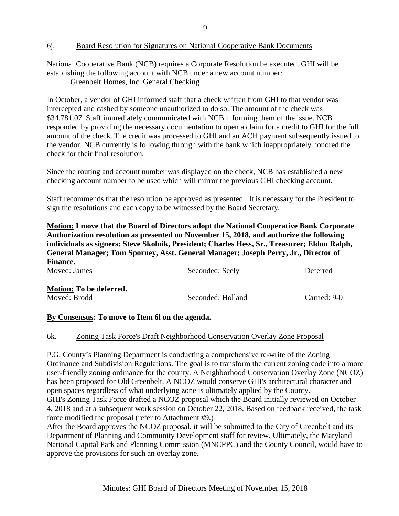#### 6j. Board Resolution for Signatures on National Cooperative Bank Documents

National Cooperative Bank (NCB) requires a Corporate Resolution be executed. GHI will be establishing the following account with NCB under a new account number:

Greenbelt Homes, Inc. General Checking

In October, a vendor of GHI informed staff that a check written from GHI to that vendor was intercepted and cashed by someone unauthorized to do so. The amount of the check was \$34,781.07. Staff immediately communicated with NCB informing them of the issue. NCB responded by providing the necessary documentation to open a claim for a credit to GHI for the full amount of the check. The credit was processed to GHI and an ACH payment subsequently issued to the vendor. NCB currently is following through with the bank which inappropriately honored the check for their final resolution.

Since the routing and account number was displayed on the check, NCB has established a new checking account number to be used which will mirror the previous GHI checking account.

Staff recommends that the resolution be approved as presented. It is necessary for the President to sign the resolutions and each copy to be witnessed by the Board Secretary.

**Motion: I move that the Board of Directors adopt the National Cooperative Bank Corporate Authorization resolution as presented on November 15, 2018, and authorize the following individuals as signers: Steve Skolnik, President; Charles Hess, Sr., Treasurer; Eldon Ralph, General Manager; Tom Sporney, Asst. General Manager; Joseph Perry, Jr., Director of Finance.**<br>Moved: Iames

| Moved: James            | Seconded: Seely   | Deferred     |
|-------------------------|-------------------|--------------|
| Motion: To be deferred. |                   |              |
| Moved: Brodd            | Seconded: Holland | Carried: 9-0 |

#### **By Consensus: To move to Item 6l on the agenda.**

#### 6k. Zoning Task Force's Draft Neighborhood Conservation Overlay Zone Proposal

P.G. County's Planning Department is conducting a comprehensive re-write of the Zoning Ordinance and Subdivision Regulations. The goal is to transform the current zoning code into a more user-friendly zoning ordinance for the county. A Neighborhood Conservation Overlay Zone (NCOZ) has been proposed for Old Greenbelt. A NCOZ would conserve GHI's architectural character and open spaces regardless of what underlying zone is ultimately applied by the County. GHI's Zoning Task Force drafted a NCOZ proposal which the Board initially reviewed on October 4, 2018 and at a subsequent work session on October 22, 2018. Based on feedback received, the task force modified the proposal (refer to Attachment #9.)

After the Board approves the NCOZ proposal, it will be submitted to the City of Greenbelt and its Department of Planning and Community Development staff for review. Ultimately, the Maryland National Capital Park and Planning Commission (MNCPPC) and the County Council, would have to approve the provisions for such an overlay zone.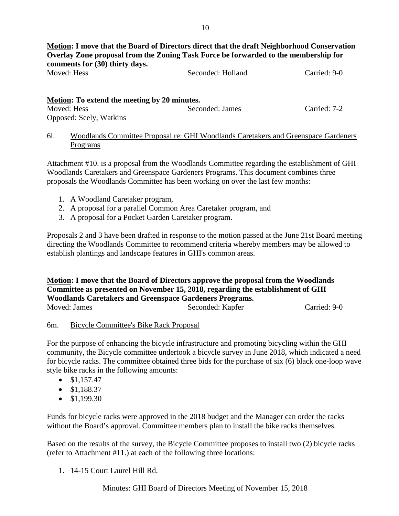**Motion: I move that the Board of Directors direct that the draft Neighborhood Conservation Overlay Zone proposal from the Zoning Task Force be forwarded to the membership for comments for (30) thirty days.**<br>Moved: Hess Seconded: Holland Carried: 9-0

| Motion: To extend the meeting by 20 minutes. |                 |              |  |
|----------------------------------------------|-----------------|--------------|--|
| Moved: Hess                                  | Seconded: James | Carried: 7-2 |  |
| Opposed: Seely, Watkins                      |                 |              |  |

6l. Woodlands Committee Proposal re: GHI Woodlands Caretakers and Greenspace Gardeners Programs

Attachment #10. is a proposal from the Woodlands Committee regarding the establishment of GHI Woodlands Caretakers and Greenspace Gardeners Programs. This document combines three proposals the Woodlands Committee has been working on over the last few months:

- 1. A Woodland Caretaker program,
- 2. A proposal for a parallel Common Area Caretaker program, and
- 3. A proposal for a Pocket Garden Caretaker program.

Proposals 2 and 3 have been drafted in response to the motion passed at the June 21st Board meeting directing the Woodlands Committee to recommend criteria whereby members may be allowed to establish plantings and landscape features in GHI's common areas.

**Motion: I move that the Board of Directors approve the proposal from the Woodlands Committee as presented on November 15, 2018, regarding the establishment of GHI Woodlands Caretakers and Greenspace Gardeners Programs.**

| Moved: James | Seconded: Kapfer | Carried: 9-0 |
|--------------|------------------|--------------|

# 6m. Bicycle Committee's Bike Rack Proposal

For the purpose of enhancing the bicycle infrastructure and promoting bicycling within the GHI community, the Bicycle committee undertook a bicycle survey in June 2018, which indicated a need for bicycle racks. The committee obtained three bids for the purchase of six (6) black one-loop wave style bike racks in the following amounts:

- $\bullet$  \$1,157.47
- $$1,188.37$
- $$1,199,30$

Funds for bicycle racks were approved in the 2018 budget and the Manager can order the racks without the Board's approval. Committee members plan to install the bike racks themselves.

Based on the results of the survey, the Bicycle Committee proposes to install two (2) bicycle racks (refer to Attachment #11.) at each of the following three locations:

1. 14-15 Court Laurel Hill Rd.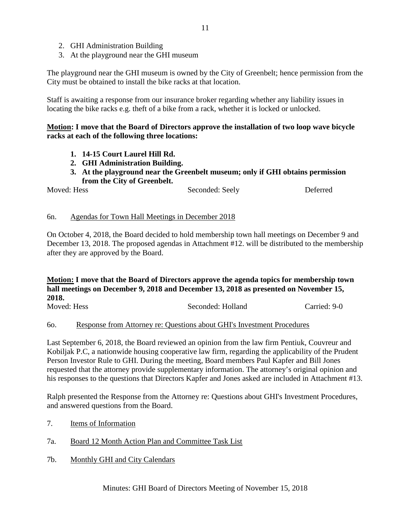- 2. GHI Administration Building
- 3. At the playground near the GHI museum

The playground near the GHI museum is owned by the City of Greenbelt; hence permission from the City must be obtained to install the bike racks at that location.

Staff is awaiting a response from our insurance broker regarding whether any liability issues in locating the bike racks e.g. theft of a bike from a rack, whether it is locked or unlocked.

#### **Motion: I move that the Board of Directors approve the installation of two loop wave bicycle racks at each of the following three locations:**

- **1. 14-15 Court Laurel Hill Rd.**
- **2. GHI Administration Building.**
- **3. At the playground near the Greenbelt museum; only if GHI obtains permission from the City of Greenbelt.**

Moved: Hess Seconded: Seely Deferred

#### 6n. Agendas for Town Hall Meetings in December 2018

On October 4, 2018, the Board decided to hold membership town hall meetings on December 9 and December 13, 2018. The proposed agendas in Attachment #12. will be distributed to the membership after they are approved by the Board.

# **Motion: I move that the Board of Directors approve the agenda topics for membership town hall meetings on December 9, 2018 and December 13, 2018 as presented on November 15, 2018.**

Moved: Hess Seconded: Holland Carried: 9-0

# 6o. Response from Attorney re: Questions about GHI's Investment Procedures

Last September 6, 2018, the Board reviewed an opinion from the law firm Pentiuk, Couvreur and Kobiljak P.C, a nationwide housing cooperative law firm, regarding the applicability of the Prudent Person Investor Rule to GHI. During the meeting, Board members Paul Kapfer and Bill Jones requested that the attorney provide supplementary information. The attorney's original opinion and his responses to the questions that Directors Kapfer and Jones asked are included in Attachment #13.

Ralph presented the Response from the Attorney re: Questions about GHI's Investment Procedures, and answered questions from the Board.

- 7. Items of Information
- 7a. Board 12 Month Action Plan and Committee Task List
- 7b. Monthly GHI and City Calendars